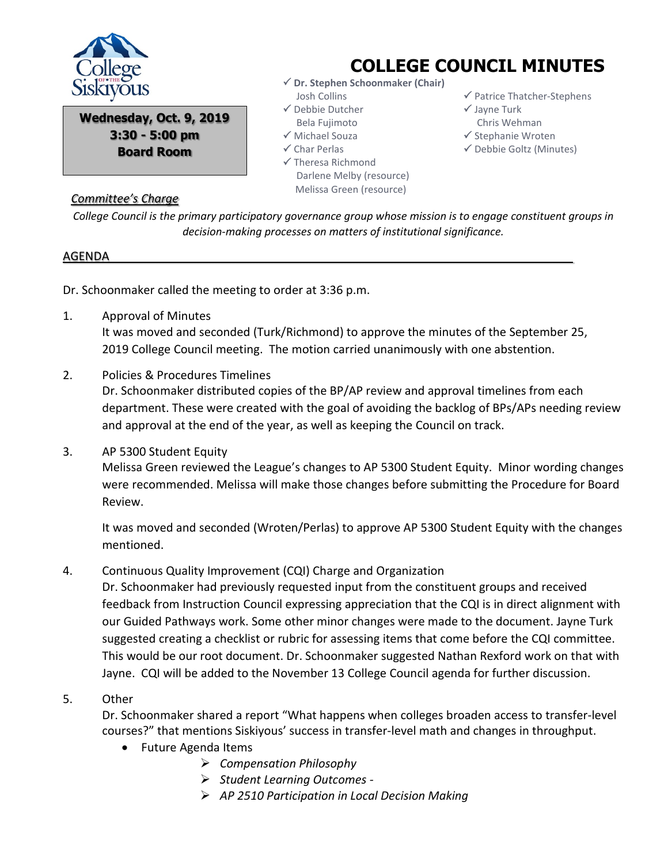

**Wednesday, Oct. 9, 2019 3:30 - 5:00 pm Board Room**

# **COLLEGE COUNCIL MINUTES**

- **Dr. Stephen Schoonmaker (Chair)** Josh Collins
- $\checkmark$  Debbie Dutcher Bela Fujimoto
- Michael Souza
- Char Perlas
- $\checkmark$  Theresa Richmond Darlene Melby (resource) Melissa Green (resource)
- $\checkmark$  Patrice Thatcher-Stephens
- $\checkmark$  Jayne Turk
- Chris Wehman
- $\checkmark$  Stephanie Wroten
- $\checkmark$  Debbie Goltz (Minutes)

### *Committee's Charge*

*College Council is the primary participatory governance group whose mission is to engage constituent groups in decision-making processes on matters of institutional significance.*

#### AGENDA

Dr. Schoonmaker called the meeting to order at 3:36 p.m.

- 1. Approval of Minutes It was moved and seconded (Turk/Richmond) to approve the minutes of the September 25, 2019 College Council meeting. The motion carried unanimously with one abstention.
- 2. Policies & Procedures Timelines

Dr. Schoonmaker distributed copies of the BP/AP review and approval timelines from each department. These were created with the goal of avoiding the backlog of BPs/APs needing review and approval at the end of the year, as well as keeping the Council on track.

3. AP 5300 Student Equity Melissa Green reviewed the League's changes to AP 5300 Student Equity. Minor wording changes were recommended. Melissa will make those changes before submitting the Procedure for Board Review.

It was moved and seconded (Wroten/Perlas) to approve AP 5300 Student Equity with the changes mentioned.

# 4. Continuous Quality Improvement (CQI) Charge and Organization

Dr. Schoonmaker had previously requested input from the constituent groups and received feedback from Instruction Council expressing appreciation that the CQI is in direct alignment with our Guided Pathways work. Some other minor changes were made to the document. Jayne Turk suggested creating a checklist or rubric for assessing items that come before the CQI committee. This would be our root document. Dr. Schoonmaker suggested Nathan Rexford work on that with Jayne. CQI will be added to the November 13 College Council agenda for further discussion.

## 5. Other

Dr. Schoonmaker shared a report "What happens when colleges broaden access to transfer-level courses?" that mentions Siskiyous' success in transfer-level math and changes in throughput.

- Future Agenda Items
	- *Compensation Philosophy*
	- *Student Learning Outcomes -*
	- *AP 2510 Participation in Local Decision Making*